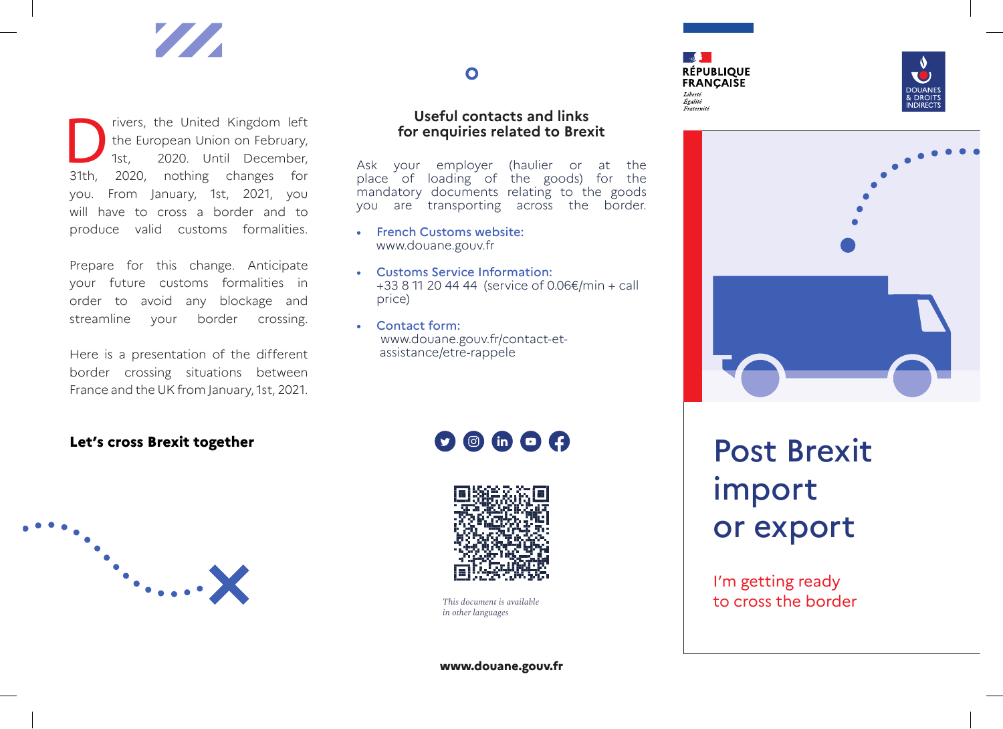

The United Kingdom left<br>the European Union on February,<br>1st, 2020. Until December,<br>31th. 2020. nothing changes for the European Union on February, 2020. Until December, 2020, nothing changes for you. From January, 1st, 2021, you will have to cross a border and to produce valid customs formalities.

Prepare for this change. Anticipate your future customs formalities in order to avoid any blockage and streamline your border crossing.

Here is a presentation of the different border crossing situations between France and the UK from January, 1st, 2021.

### $\bullet$

#### $\overline{\phantom{a}}$ **RÉPUBLIQUE FRANCAISE** Liberté Égalité Fraternité





#### **Let's cross Brexit together**



### **Useful contacts and links for enquiries related to Brexit**

Ask your employer (haulier or at the place of loading of the goods) for the mandatory documents relating to the goods you are transporting across the border.

- French Customs website: www.douane.gouv.fr
- Customs Service Information: +33 8 11 20 44 44 (service of 0.06€/min + call price)
- Contact form: www.douane.gouv.fr/contact-et assistance/etre-rappele

 $\mathbf{O} \circledcirc$  in  $\mathbf{O} \circledcirc$ 



*in other languages*

Post Brexit import or export

I'm getting ready *This document is available* to cross the border

**www.douane.gouv.fr**